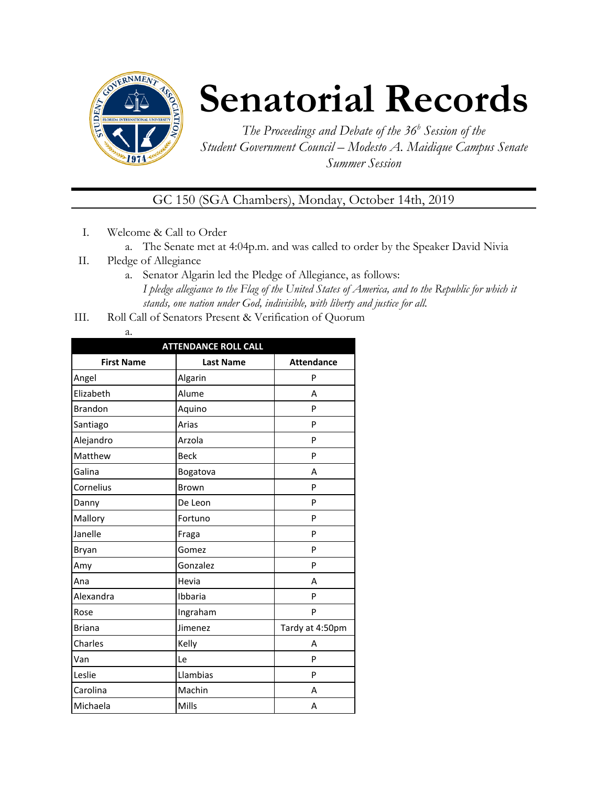

# **Senatorial Records**

*The Proceedings and Debate of the 36 <sup>h</sup> Session of the Student Government Council – Modesto A. Maidique Campus Senate Summer Session*

### GC 150 (SGA Chambers), Monday, October 14th, 2019

- I. Welcome & Call to Order
	- a. The Senate met at 4:04p.m. and was called to order by the Speaker David Nivia
- II. Pledge of Allegiance
	- a. Senator Algarin led the Pledge of Allegiance, as follows: *I pledge allegiance to the Flag of the United States of America, and to the Republic for which it stands, one nation under God, indivisible, with liberty and justice for all.*
- III. Roll Call of Senators Present & Verification of Quorum
	- a.

| <b>ATTENDANCE ROLL CALL</b> |                  |                   |  |  |
|-----------------------------|------------------|-------------------|--|--|
| <b>First Name</b>           | <b>Last Name</b> | <b>Attendance</b> |  |  |
| Angel                       | Algarin          | P                 |  |  |
| Elizabeth                   | Alume            | А                 |  |  |
| <b>Brandon</b>              | Aquino           | P                 |  |  |
| Santiago                    | Arias            | P                 |  |  |
| Alejandro                   | Arzola           | P                 |  |  |
| Matthew                     | <b>Beck</b>      | P                 |  |  |
| Galina                      | Bogatova         | А                 |  |  |
| Cornelius                   | Brown            | P                 |  |  |
| Danny                       | De Leon          | P                 |  |  |
| Mallory                     | Fortuno          | P                 |  |  |
| Janelle                     | Fraga            | P                 |  |  |
| Bryan                       | Gomez            | P                 |  |  |
| Amy                         | Gonzalez         | P                 |  |  |
| Ana                         | Hevia            | А                 |  |  |
| Alexandra                   | Ibbaria          | P                 |  |  |
| Rose                        | Ingraham         | P                 |  |  |
| <b>Briana</b>               | Jimenez          | Tardy at 4:50pm   |  |  |
| Charles                     | Kelly            | А                 |  |  |
| Van                         | Le               | P                 |  |  |
| Leslie                      | Llambias         | P                 |  |  |
| Carolina                    | Machin           | А                 |  |  |
| Michaela                    | Mills            | А                 |  |  |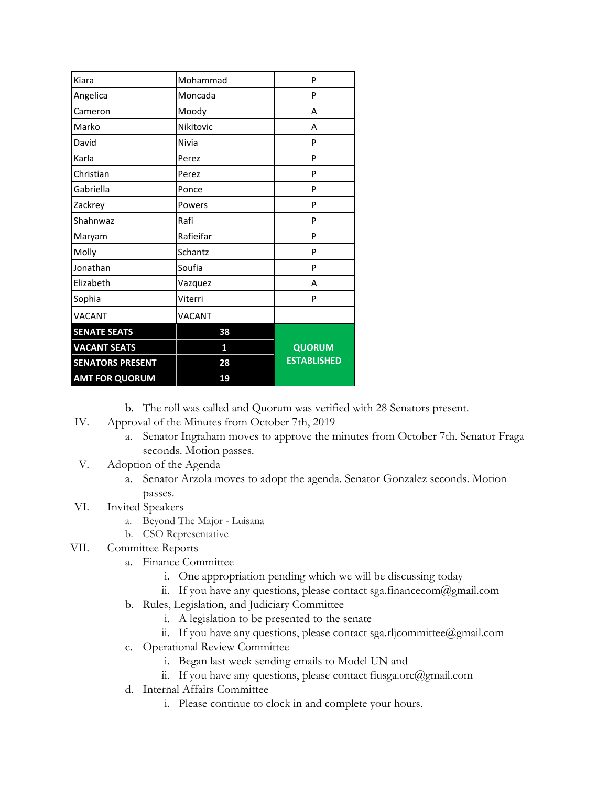| Kiara                   | Mohammad      | P                  |
|-------------------------|---------------|--------------------|
| Angelica                | Moncada       | P                  |
| Cameron                 | Moody         | A                  |
| Marko                   | Nikitovic     | А                  |
| David                   | Nivia         | P                  |
| Karla                   | Perez         | P                  |
| Christian               | Perez         | P                  |
| Gabriella               | Ponce         | P                  |
| Zackrey                 | Powers        | P                  |
| Shahnwaz                | Rafi          | P                  |
| Maryam                  | Rafieifar     | P                  |
| Molly                   | Schantz       | P                  |
| Jonathan                | Soufia        | P                  |
| Elizabeth               | Vazquez       | А                  |
| Sophia                  | Viterri       | P                  |
| <b>VACANT</b>           | <b>VACANT</b> |                    |
| <b>SENATE SEATS</b>     | 38            |                    |
| <b>VACANT SEATS</b>     | 1             | <b>QUORUM</b>      |
| <b>SENATORS PRESENT</b> | 28            | <b>ESTABLISHED</b> |
| <b>AMT FOR QUORUM</b>   | 19            |                    |

b. The roll was called and Quorum was verified with 28 Senators present.

- IV. Approval of the Minutes from October 7th, 2019
	- a. Senator Ingraham moves to approve the minutes from October 7th. Senator Fraga seconds. Motion passes.
- V. Adoption of the Agenda
	- a. Senator Arzola moves to adopt the agenda. Senator Gonzalez seconds. Motion passes.
- VI. Invited Speakers
	- a. Beyond The Major Luisana
	- b. CSO Representative
- VII. Committee Reports
	- a. Finance Committee
		- i. One appropriation pending which we will be discussing today
		- ii. If you have any questions, please contact sga.financecom@gmail.com
	- b. Rules, Legislation, and Judiciary Committee
		- i. A legislation to be presented to the senate
		- ii. If you have any questions, please contact sga.rljcommittee@gmail.com
	- c. Operational Review Committee
		- i. Began last week sending emails to Model UN and
		- ii. If you have any questions, please contact fiusga.orc@gmail.com
	- d. Internal Affairs Committee
		- i. Please continue to clock in and complete your hours.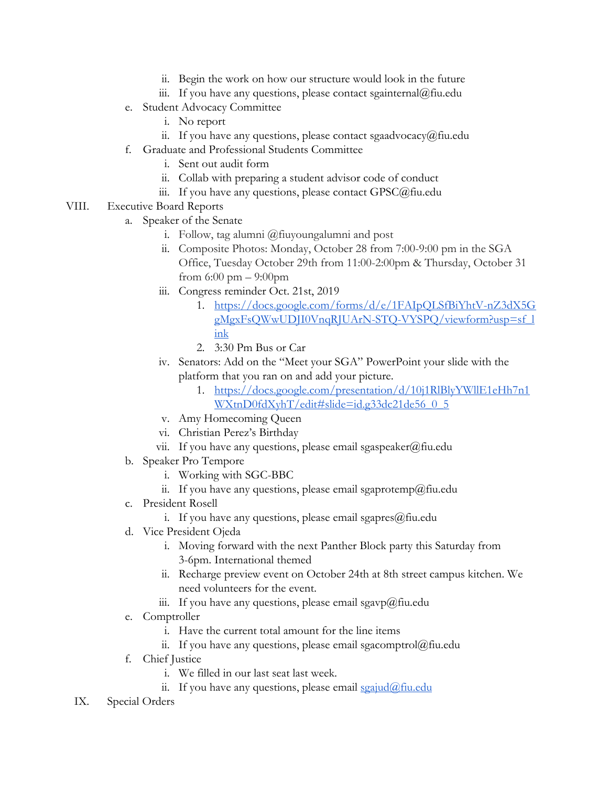- ii. Begin the work on how our structure would look in the future
- iii. If you have any questions, please contact sgainternal@fiu.edu
- e. Student Advocacy Committee
	- i. No report
	- ii. If you have any questions, please contact sgaadvocacy@fiu.edu
- f. Graduate and Professional Students Committee
	- i. Sent out audit form
	- ii. Collab with preparing a student advisor code of conduct
	- iii. If you have any questions, please contact GPSC@fiu.edu
- VIII. Executive Board Reports
	- a. Speaker of the Senate
		- i. Follow, tag alumni @fiuyoungalumni and post
		- ii. Composite Photos: Monday, October 28 from 7:00-9:00 pm in the SGA Office, Tuesday October 29th from 11:00-2:00pm & Thursday, October 31 from  $6:00 \text{ pm} - 9:00 \text{ pm}$
		- iii. Congress reminder Oct. 21st, 2019
			- 1. [https://docs.google.com/forms/d/e/1FAIpQLSfBiYhtV-nZ3dX5G](https://docs.google.com/forms/d/e/1FAIpQLSfBiYhtV-nZ3dX5GgMgxFsQWwUDJI0VnqRJUArN-STQ-VYSPQ/viewform?usp=sf_link) [gMgxFsQWwUDJI0VnqRJUArN-STQ-VYSPQ/viewform?usp=sf\\_l](https://docs.google.com/forms/d/e/1FAIpQLSfBiYhtV-nZ3dX5GgMgxFsQWwUDJI0VnqRJUArN-STQ-VYSPQ/viewform?usp=sf_link) [ink](https://docs.google.com/forms/d/e/1FAIpQLSfBiYhtV-nZ3dX5GgMgxFsQWwUDJI0VnqRJUArN-STQ-VYSPQ/viewform?usp=sf_link)
			- 2. 3:30 Pm Bus or Car
		- iv. Senators: Add on the "Meet your SGA" PowerPoint your slide with the platform that you ran on and add your picture.
			- 1. [https://docs.google.com/presentation/d/10j1RlBlyYWllE1eHh7n1](https://docs.google.com/presentation/d/10j1RlBlyYWllE1eHh7n1WXtnD0fdXyhT/edit#slide=id.g33dc21de56_0_5) [WXtnD0fdXyhT/edit#slide=id.g33dc21de56\\_0\\_5](https://docs.google.com/presentation/d/10j1RlBlyYWllE1eHh7n1WXtnD0fdXyhT/edit#slide=id.g33dc21de56_0_5)
		- v. Amy Homecoming Queen
		- vi. Christian Perez's Birthday
		- vii. If you have any questions, please email sgaspeaker@fiu.edu
	- b. Speaker Pro Tempore
		- i. Working with SGC-BBC
		- ii. If you have any questions, please email sgaprotemp@fiu.edu
	- c. President Rosell
		- i. If you have any questions, please email sgapres $@$ fiu.edu
	- d. Vice President Ojeda
		- i. Moving forward with the next Panther Block party this Saturday from 3-6pm. International themed
		- ii. Recharge preview event on October 24th at 8th street campus kitchen. We need volunteers for the event.
		- iii. If you have any questions, please email sgavp $\omega$ fiu.edu
	- e. Comptroller
		- i. Have the current total amount for the line items
		- ii. If you have any questions, please email sgacomptrol $@$ fiu.edu
	- f. Chief Justice
		- i. We filled in our last seat last week.
		- ii. If you have any questions, please email [sgajud@fiu.edu](mailto:sgajud@fiu.edu)
	- IX. Special Orders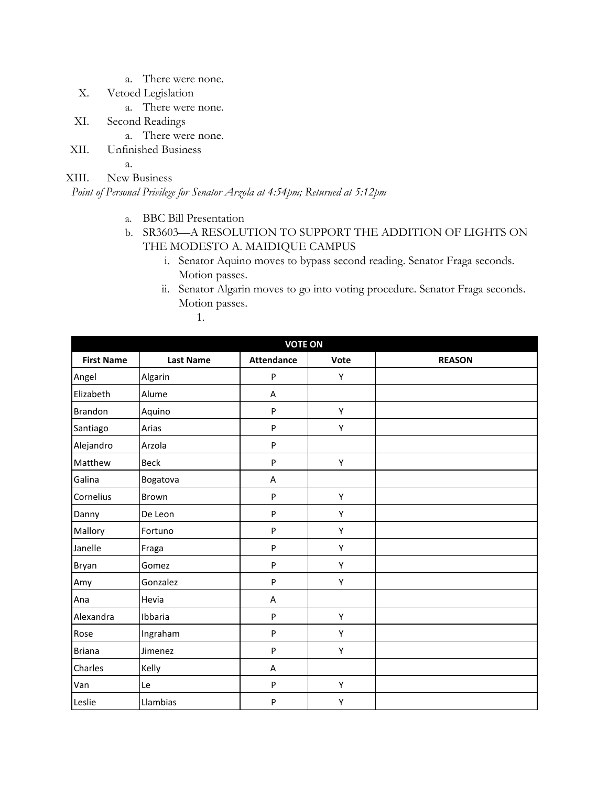- a. There were none.
- X. Vetoed Legislation
	- a. There were none.
- XI. Second Readings
	- a. There were none.
- XII. Unfinished Business

a.

XIII. New Business

*Point of Personal Privilege for Senator Arzola at 4:54pm; Returned at 5:12pm*

- a. BBC Bill Presentation
- b. SR3603—A RESOLUTION TO SUPPORT THE ADDITION OF LIGHTS ON THE MODESTO A. MAIDIQUE CAMPUS
	- i. Senator Aquino moves to bypass second reading. Senator Fraga seconds. Motion passes.
	- ii. Senator Algarin moves to go into voting procedure. Senator Fraga seconds. Motion passes.
		- 1.

| <b>VOTE ON</b>    |                  |                   |      |               |  |
|-------------------|------------------|-------------------|------|---------------|--|
| <b>First Name</b> | <b>Last Name</b> | <b>Attendance</b> | Vote | <b>REASON</b> |  |
| Angel             | Algarin          | P                 | Υ    |               |  |
| Elizabeth         | Alume            | Α                 |      |               |  |
| <b>Brandon</b>    | Aquino           | P                 | Υ    |               |  |
| Santiago          | Arias            | P                 | Υ    |               |  |
| Alejandro         | Arzola           | P                 |      |               |  |
| Matthew           | <b>Beck</b>      | P                 | Υ    |               |  |
| Galina            | Bogatova         | A                 |      |               |  |
| Cornelius         | Brown            | P                 | Υ    |               |  |
| Danny             | De Leon          | $\mathsf{P}$      | Υ    |               |  |
| Mallory           | Fortuno          | P                 | Υ    |               |  |
| Janelle           | Fraga            | P                 | Υ    |               |  |
| Bryan             | Gomez            | P                 | Υ    |               |  |
| Amy               | Gonzalez         | P                 | Υ    |               |  |
| Ana               | Hevia            | A                 |      |               |  |
| Alexandra         | Ibbaria          | P                 | Υ    |               |  |
| Rose              | Ingraham         | P                 | Υ    |               |  |
| <b>Briana</b>     | Jimenez          | P                 | Υ    |               |  |
| Charles           | Kelly            | A                 |      |               |  |
| Van               | Le               | $\sf P$           | Υ    |               |  |
| Leslie            | Llambias         | P                 | Υ    |               |  |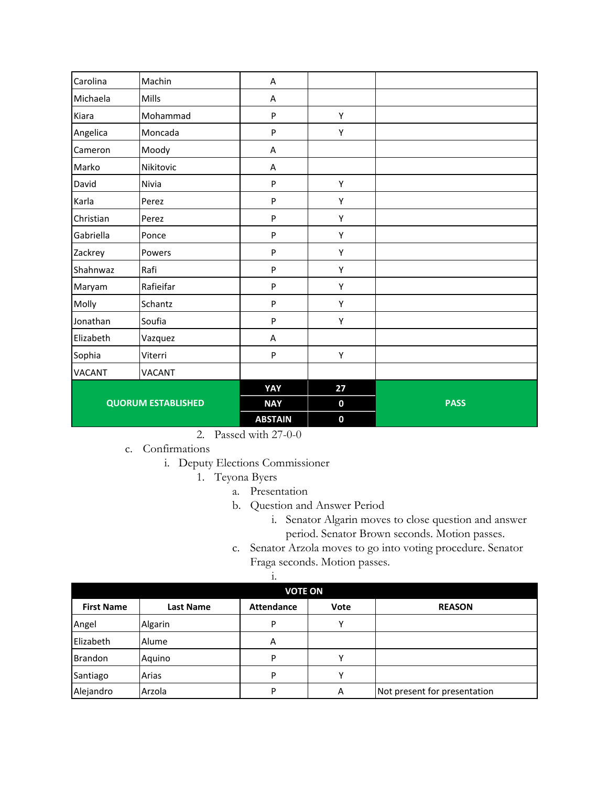| Carolina      | Machin                    | A              |             |             |
|---------------|---------------------------|----------------|-------------|-------------|
| Michaela      | Mills                     | A              |             |             |
| Kiara         | Mohammad                  | P              | Υ           |             |
| Angelica      | Moncada                   | P              | Υ           |             |
| Cameron       | Moody                     | A              |             |             |
| Marko         | Nikitovic                 | A              |             |             |
| David         | Nivia                     | P              | Υ           |             |
| Karla         | Perez                     | P              | Υ           |             |
| Christian     | Perez                     | P              | Υ           |             |
| Gabriella     | Ponce                     | P              | Υ           |             |
| Zackrey       | Powers                    | P              | Υ           |             |
| Shahnwaz      | Rafi                      | P              | Υ           |             |
| Maryam        | Rafieifar                 | P              | Υ           |             |
| Molly         | Schantz                   | $\mathsf{P}$   | Υ           |             |
| Jonathan      | Soufia                    | P              | Υ           |             |
| Elizabeth     | Vazquez                   | A              |             |             |
| Sophia        | Viterri                   | $\mathsf{P}$   | Υ           |             |
| <b>VACANT</b> | VACANT                    |                |             |             |
|               |                           | YAY            | 27          |             |
|               | <b>QUORUM ESTABLISHED</b> | <b>NAY</b>     | $\mathbf 0$ | <b>PASS</b> |
|               |                           | <b>ABSTAIN</b> | $\mathbf 0$ |             |

2. Passed with 27-0-0

c. Confirmations

i. Deputy Elections Commissioner

- 1. Teyona Byers
	- a. Presentation
		- b. Question and Answer Period
			- i. Senator Algarin moves to close question and answer period. Senator Brown seconds. Motion passes.
		- c. Senator Arzola moves to go into voting procedure. Senator Fraga seconds. Motion passes.

| <b>VOTE ON</b>    |                  |                   |      |                              |  |
|-------------------|------------------|-------------------|------|------------------------------|--|
| <b>First Name</b> | <b>Last Name</b> | <b>Attendance</b> | Vote | <b>REASON</b>                |  |
| Angel             | Algarin          | P                 |      |                              |  |
| Elizabeth         | Alume            | Α                 |      |                              |  |
| <b>Brandon</b>    | Aquino           | P                 |      |                              |  |
| Santiago          | Arias            | P                 |      |                              |  |
| Alejandro         | Arzola           | P                 | Α    | Not present for presentation |  |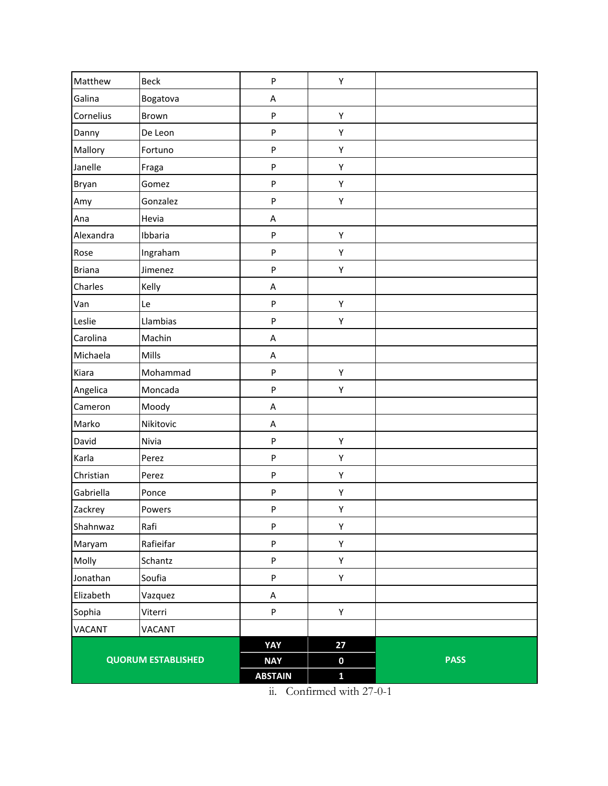| Matthew       | Beck                      | P              | Υ            |             |
|---------------|---------------------------|----------------|--------------|-------------|
| Galina        | Bogatova                  | A              |              |             |
| Cornelius     | Brown                     | P              | Υ            |             |
| Danny         | De Leon                   | P              | Υ            |             |
| Mallory       | Fortuno                   | P              | Υ            |             |
| Janelle       | Fraga                     | P              | Υ            |             |
| Bryan         | Gomez                     | P              | Υ            |             |
| Amy           | Gonzalez                  | P              | Υ            |             |
| Ana           | Hevia                     | A              |              |             |
| Alexandra     | Ibbaria                   | P              | Υ            |             |
| Rose          | Ingraham                  | P              | Υ            |             |
| <b>Briana</b> | Jimenez                   | ${\sf P}$      | Υ            |             |
| Charles       | Kelly                     | A              |              |             |
| Van           | Le                        | P              | Υ            |             |
| Leslie        | Llambias                  | P              | Υ            |             |
| Carolina      | Machin                    | A              |              |             |
| Michaela      | Mills                     | A              |              |             |
| Kiara         | Mohammad                  | ${\sf P}$      | Υ            |             |
| Angelica      | Moncada                   | P              | Υ            |             |
| Cameron       | Moody                     | A              |              |             |
| Marko         | Nikitovic                 | A              |              |             |
| David         | Nivia                     | ${\sf P}$      | Υ            |             |
| Karla         | Perez                     | P              | Υ            |             |
| Christian     | Perez                     | P              | Υ            |             |
| Gabriella     | Ponce                     | P              | Υ            |             |
| Zackrey       | Powers                    | P              | Υ            |             |
| Shahnwaz      | Rafi                      | P              | Υ            |             |
| Maryam        | Rafieifar                 | P              | Υ            |             |
| Molly         | Schantz                   | ${\sf P}$      | Υ            |             |
| Jonathan      | Soufia                    | ${\sf P}$      | Υ            |             |
| Elizabeth     | Vazquez                   | $\sf A$        |              |             |
| Sophia        | Viterri                   | P              | Υ            |             |
| VACANT        | VACANT                    |                |              |             |
|               |                           | YAY            | 27           |             |
|               | <b>QUORUM ESTABLISHED</b> | <b>NAY</b>     | $\pmb{0}$    | <b>PASS</b> |
|               |                           | <b>ABSTAIN</b> | $\mathbf{1}$ |             |

ii. Confirmed with 27-0-1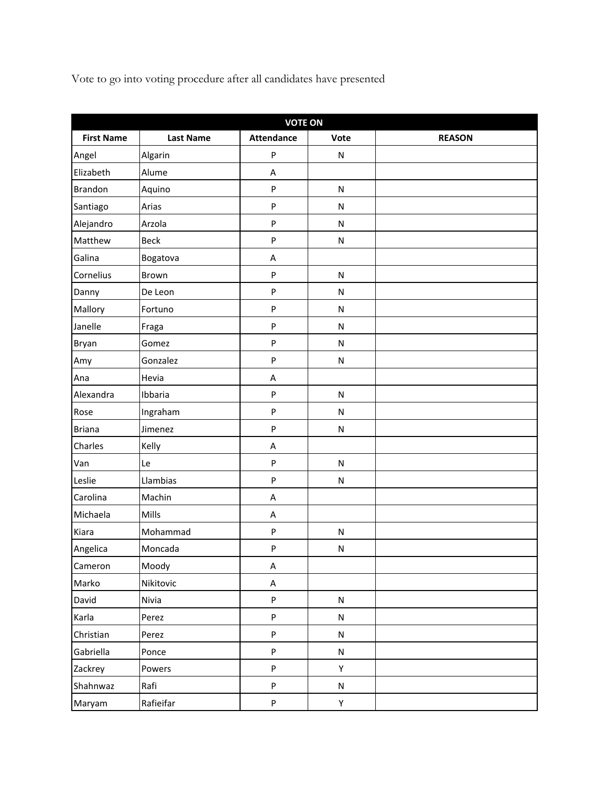Vote to go into voting procedure after all candidates have presented

| <b>VOTE ON</b>    |                  |                   |           |               |  |
|-------------------|------------------|-------------------|-----------|---------------|--|
| <b>First Name</b> | <b>Last Name</b> | <b>Attendance</b> | Vote      | <b>REASON</b> |  |
| Angel             | Algarin          | P                 | N         |               |  |
| Elizabeth         | Alume            | A                 |           |               |  |
| <b>Brandon</b>    | Aquino           | P                 | ${\sf N}$ |               |  |
| Santiago          | Arias            | P                 | N         |               |  |
| Alejandro         | Arzola           | P                 | N         |               |  |
| Matthew           | <b>Beck</b>      | P                 | ${\sf N}$ |               |  |
| Galina            | Bogatova         | A                 |           |               |  |
| Cornelius         | Brown            | P                 | ${\sf N}$ |               |  |
| Danny             | De Leon          | P                 | N         |               |  |
| Mallory           | Fortuno          | P                 | N         |               |  |
| Janelle           | Fraga            | P                 | ${\sf N}$ |               |  |
| Bryan             | Gomez            | P                 | N         |               |  |
| Amy               | Gonzalez         | P                 | N         |               |  |
| Ana               | Hevia            | A                 |           |               |  |
| Alexandra         | Ibbaria          | P                 | ${\sf N}$ |               |  |
| Rose              | Ingraham         | P                 | ${\sf N}$ |               |  |
| <b>Briana</b>     | Jimenez          | P                 | N         |               |  |
| Charles           | Kelly            | A                 |           |               |  |
| Van               | Le               | P                 | N         |               |  |
| Leslie            | Llambias         | P                 | ${\sf N}$ |               |  |
| Carolina          | Machin           | A                 |           |               |  |
| Michaela          | Mills            | A                 |           |               |  |
| Kiara             | Mohammad         | P                 | N         |               |  |
| Angelica          | Moncada          | P                 | ${\sf N}$ |               |  |
| Cameron           | Moody            | A                 |           |               |  |
| Marko             | Nikitovic        | A                 |           |               |  |
| David             | Nivia            | P                 | N         |               |  |
| Karla             | Perez            | P                 | N         |               |  |
| Christian         | Perez            | P                 | ${\sf N}$ |               |  |
| Gabriella         | Ponce            | P                 | ${\sf N}$ |               |  |
| Zackrey           | Powers           | P                 | Υ         |               |  |
| Shahnwaz          | Rafi             | P                 | N         |               |  |
| Maryam            | Rafieifar        | P                 | Y         |               |  |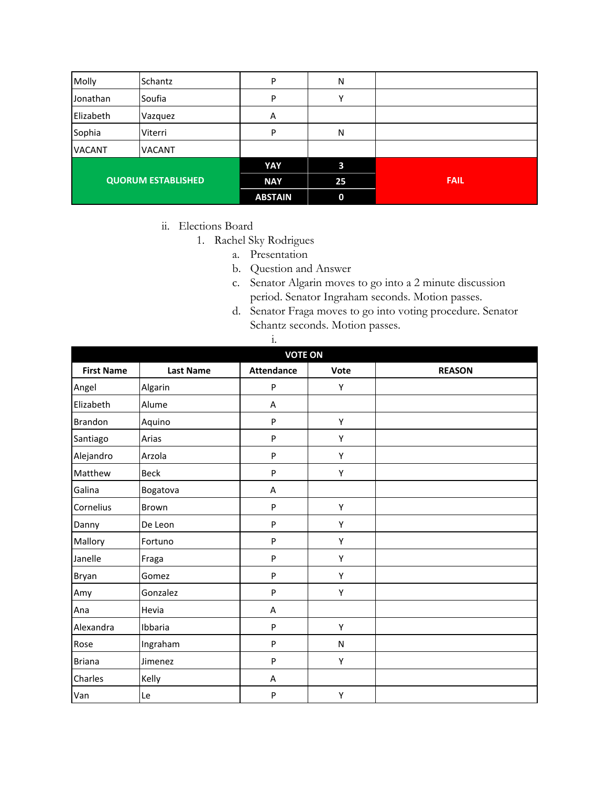| Molly                     | Schantz       | P              | N            |             |
|---------------------------|---------------|----------------|--------------|-------------|
| Jonathan                  | Soufia        | P              | $\checkmark$ |             |
| Elizabeth                 | Vazquez       | Α              |              |             |
| Sophia                    | Viterri       | P              | N            |             |
| <b>VACANT</b>             | <b>VACANT</b> |                |              |             |
|                           |               | YAY            | 3            |             |
| <b>QUORUM ESTABLISHED</b> |               | <b>NAY</b>     | 25           | <b>FAIL</b> |
|                           |               | <b>ABSTAIN</b> | 0            |             |

- ii. Elections Board
	- 1. Rachel Sky Rodrigues
		- a. Presentation
		- b. Question and Answer
		- c. Senator Algarin moves to go into a 2 minute discussion period. Senator Ingraham seconds. Motion passes.
		- d. Senator Fraga moves to go into voting procedure. Senator Schantz seconds. Motion passes.

| ٠      |  |
|--------|--|
| 1<br>٠ |  |

| <b>VOTE ON</b>    |                  |                   |           |               |  |
|-------------------|------------------|-------------------|-----------|---------------|--|
| <b>First Name</b> | <b>Last Name</b> | <b>Attendance</b> | Vote      | <b>REASON</b> |  |
| Angel             | Algarin          | ${\sf P}$         | Y         |               |  |
| Elizabeth         | Alume            | Α                 |           |               |  |
| <b>Brandon</b>    | Aquino           | ${\sf P}$         | Υ         |               |  |
| Santiago          | Arias            | $\mathsf{P}$      | Υ         |               |  |
| Alejandro         | Arzola           | ${\sf P}$         | Υ         |               |  |
| Matthew           | <b>Beck</b>      | P                 | Υ         |               |  |
| Galina            | Bogatova         | A                 |           |               |  |
| Cornelius         | Brown            | P                 | Υ         |               |  |
| Danny             | De Leon          | ${\sf P}$         | Υ         |               |  |
| Mallory           | Fortuno          | $\mathsf{P}$      | Υ         |               |  |
| Janelle           | Fraga            | ${\sf P}$         | Υ         |               |  |
| Bryan             | Gomez            | P                 | Υ         |               |  |
| Amy               | Gonzalez         | P                 | Υ         |               |  |
| Ana               | Hevia            | A                 |           |               |  |
| Alexandra         | Ibbaria          | P                 | Υ         |               |  |
| Rose              | Ingraham         | ${\sf P}$         | ${\sf N}$ |               |  |
| <b>Briana</b>     | Jimenez          | P                 | Υ         |               |  |
| Charles           | Kelly            | Α                 |           |               |  |
| Van               | Le               | P                 | Υ         |               |  |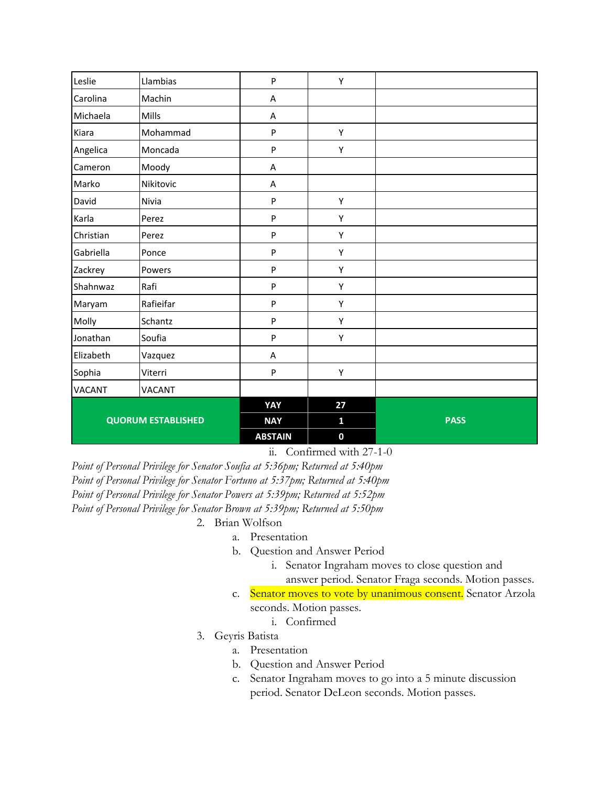|               |                           | <b>ABSTAIN</b> | $\mathbf 0$  |             |
|---------------|---------------------------|----------------|--------------|-------------|
|               | <b>QUORUM ESTABLISHED</b> | <b>NAY</b>     | $\mathbf{1}$ | <b>PASS</b> |
|               |                           | YAY            | 27           |             |
| <b>VACANT</b> | <b>VACANT</b>             |                |              |             |
| Sophia        | Viterri                   | ${\sf P}$      | Υ            |             |
| Elizabeth     | Vazquez                   | Α              |              |             |
| Jonathan      | Soufia                    | $\sf P$        | Υ            |             |
| Molly         | Schantz                   | ${\sf P}$      | Υ            |             |
| Maryam        | Rafieifar                 | ${\sf P}$      | Υ            |             |
| Shahnwaz      | Rafi                      | ${\sf P}$      | Υ            |             |
| Zackrey       | Powers                    | P              | Υ            |             |
| Gabriella     | Ponce                     | ${\sf P}$      | Υ            |             |
| Christian     | Perez                     | ${\sf P}$      | Υ            |             |
| Karla         | Perez                     | $\sf P$        | Υ            |             |
| David         | Nivia                     | ${\sf P}$      | Υ            |             |
| Marko         | Nikitovic                 | A              |              |             |
| Cameron       | Moody                     | A              |              |             |
| Angelica      | Moncada                   | P              | Υ            |             |
| Kiara         | Mohammad                  | $\mathsf{P}$   | Υ            |             |
| Michaela      | Mills                     | A              |              |             |
| Carolina      | Machin                    | A              |              |             |
| Leslie        | Llambias                  | $\mathsf{P}$   | Υ            |             |

ii. Confirmed with 27-1-0

*Point of Personal Privilege for Senator Soufia at 5:36pm; Returned at 5:40pm Point of Personal Privilege for Senator Fortuno at 5:37pm; Returned at 5:40pm Point of Personal Privilege for Senator Powers at 5:39pm; Returned at 5:52pm Point of Personal Privilege for Senator Brown at 5:39pm; Returned at 5:50pm*

#### 2. Brian Wolfson

- a. Presentation
- b. Question and Answer Period
	- i. Senator Ingraham moves to close question and answer period. Senator Fraga seconds. Motion passes.
- c. Senator moves to vote by unanimous consent. Senator Arzola seconds. Motion passes.
	- i. Confirmed
- 3. Geyris Batista
	- a. Presentation
	- b. Question and Answer Period
	- c. Senator Ingraham moves to go into a 5 minute discussion period. Senator DeLeon seconds. Motion passes.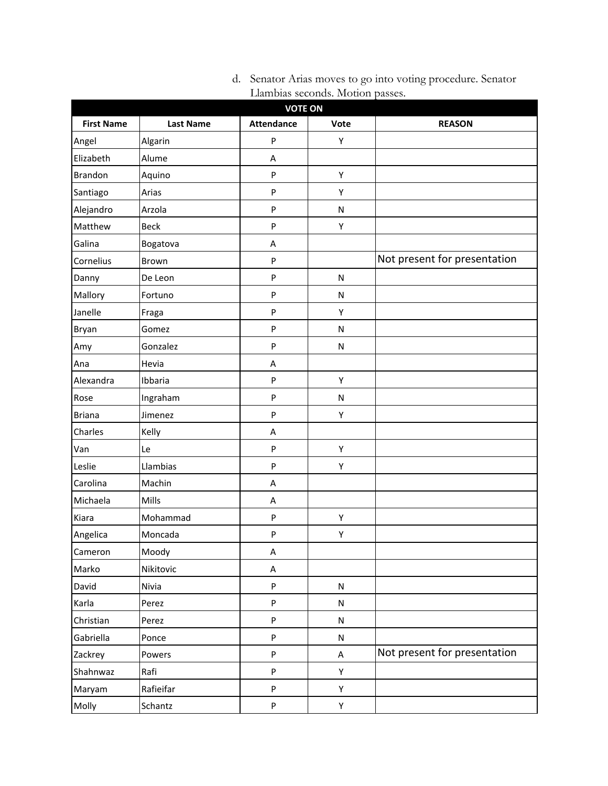| <b>VOTE ON</b>    |                  |                           |           |                              |  |
|-------------------|------------------|---------------------------|-----------|------------------------------|--|
| <b>First Name</b> | <b>Last Name</b> | <b>Attendance</b>         | Vote      | <b>REASON</b>                |  |
| Angel             | Algarin          | P                         | Υ         |                              |  |
| Elizabeth         | Alume            | Α                         |           |                              |  |
| <b>Brandon</b>    | Aquino           | P                         | Υ         |                              |  |
| Santiago          | Arias            | P                         | Υ         |                              |  |
| Alejandro         | Arzola           | P                         | N         |                              |  |
| Matthew           | <b>Beck</b>      | P                         | Υ         |                              |  |
| Galina            | Bogatova         | A                         |           |                              |  |
| Cornelius         | Brown            | P                         |           | Not present for presentation |  |
| Danny             | De Leon          | P                         | N         |                              |  |
| Mallory           | Fortuno          | P                         | N         |                              |  |
| Janelle           | Fraga            | P                         | Υ         |                              |  |
| Bryan             | Gomez            | P                         | N         |                              |  |
| Amy               | Gonzalez         | P                         | N         |                              |  |
| Ana               | Hevia            | Α                         |           |                              |  |
| Alexandra         | Ibbaria          | P                         | Υ         |                              |  |
| Rose              | Ingraham         | P                         | N         |                              |  |
| <b>Briana</b>     | Jimenez          | P                         | Υ         |                              |  |
| Charles           | Kelly            | A                         |           |                              |  |
| Van               | Le               | P                         | Υ         |                              |  |
| Leslie            | Llambias         | P                         | Υ         |                              |  |
| Carolina          | Machin           | Α                         |           |                              |  |
| Michaela          | Mills            | A                         |           |                              |  |
| Kiara             | Mohammad         | P                         | Υ         |                              |  |
| Angelica          | Moncada          | P                         | Υ         |                              |  |
| Cameron           | Moody            | A                         |           |                              |  |
| Marko             | Nikitovic        | Α                         |           |                              |  |
| David             | Nivia            | P                         | ${\sf N}$ |                              |  |
| Karla             | Perez            | P                         | ${\sf N}$ |                              |  |
| Christian         | Perez            | P                         | ${\sf N}$ |                              |  |
| Gabriella         | Ponce            | P                         | ${\sf N}$ |                              |  |
| Zackrey           | Powers           | P                         | A         | Not present for presentation |  |
| Shahnwaz          | Rafi             | P                         | Υ         |                              |  |
| Maryam            | Rafieifar        | P                         | Υ         |                              |  |
| Molly             | Schantz          | $\boldsymbol{\mathsf{P}}$ | Υ         |                              |  |

d. Senator Arias moves to go into voting procedure. Senator Llambias seconds. Motion passes.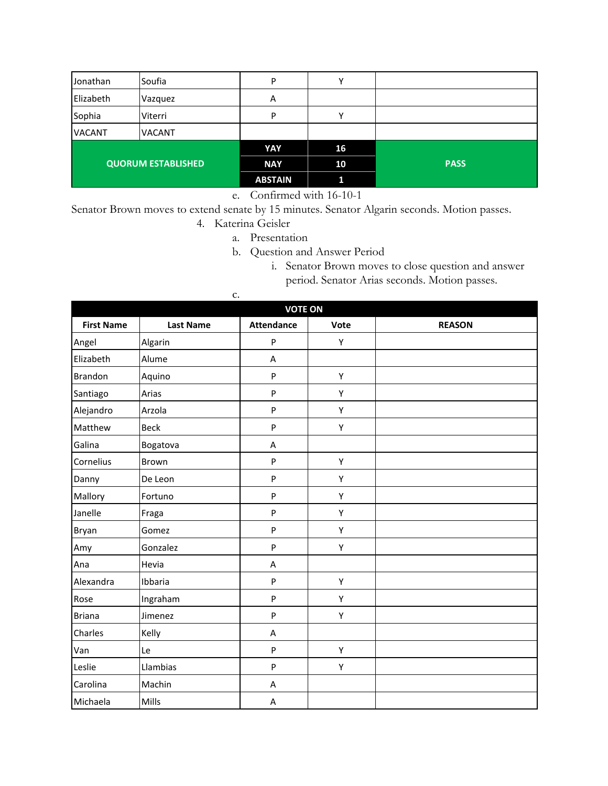| Jonathan                  | Soufia        | P              | ν  |             |
|---------------------------|---------------|----------------|----|-------------|
| Elizabeth                 | Vazquez       | Α              |    |             |
| Sophia                    | Viterri       | P              | v  |             |
| <b>VACANT</b>             | <b>VACANT</b> |                |    |             |
|                           |               | YAY            | 16 |             |
| <b>QUORUM ESTABLISHED</b> |               | <b>NAY</b>     | 10 | <b>PASS</b> |
|                           |               | <b>ABSTAIN</b> | 1  |             |

e. Confirmed with 16-10-1

Senator Brown moves to extend senate by 15 minutes. Senator Algarin seconds. Motion passes.

#### 4. Katerina Geisler

- a. Presentation
- b. Question and Answer Period
	- i. Senator Brown moves to close question and answer period. Senator Arias seconds. Motion passes.

| c.                |                  |                   |      |               |  |  |  |
|-------------------|------------------|-------------------|------|---------------|--|--|--|
|                   | <b>VOTE ON</b>   |                   |      |               |  |  |  |
| <b>First Name</b> | <b>Last Name</b> | <b>Attendance</b> | Vote | <b>REASON</b> |  |  |  |
| Angel             | Algarin          | P                 | Υ    |               |  |  |  |
| Elizabeth         | Alume            | A                 |      |               |  |  |  |
| <b>Brandon</b>    | Aquino           | $\mathsf{P}$      | Υ    |               |  |  |  |
| Santiago          | Arias            | P                 | Υ    |               |  |  |  |
| Alejandro         | Arzola           | P                 | Υ    |               |  |  |  |
| Matthew           | <b>Beck</b>      | P                 | Υ    |               |  |  |  |
| Galina            | Bogatova         | A                 |      |               |  |  |  |
| Cornelius         | Brown            | P                 | Υ    |               |  |  |  |
| Danny             | De Leon          | P                 | Υ    |               |  |  |  |
| Mallory           | Fortuno          | P                 | Υ    |               |  |  |  |
| Janelle           | Fraga            | P                 | Υ    |               |  |  |  |
| Bryan             | Gomez            | P                 | Υ    |               |  |  |  |
| Amy               | Gonzalez         | P                 | Υ    |               |  |  |  |
| Ana               | Hevia            | A                 |      |               |  |  |  |
| Alexandra         | Ibbaria          | P                 | Υ    |               |  |  |  |
| Rose              | Ingraham         | P                 | Υ    |               |  |  |  |
| <b>Briana</b>     | Jimenez          | P                 | Υ    |               |  |  |  |
| Charles           | Kelly            | A                 |      |               |  |  |  |
| Van               | Le               | ${\sf P}$         | Υ    |               |  |  |  |
| Leslie            | Llambias         | ${\sf P}$         | Υ    |               |  |  |  |
| Carolina          | Machin           | A                 |      |               |  |  |  |
| Michaela          | Mills            | A                 |      |               |  |  |  |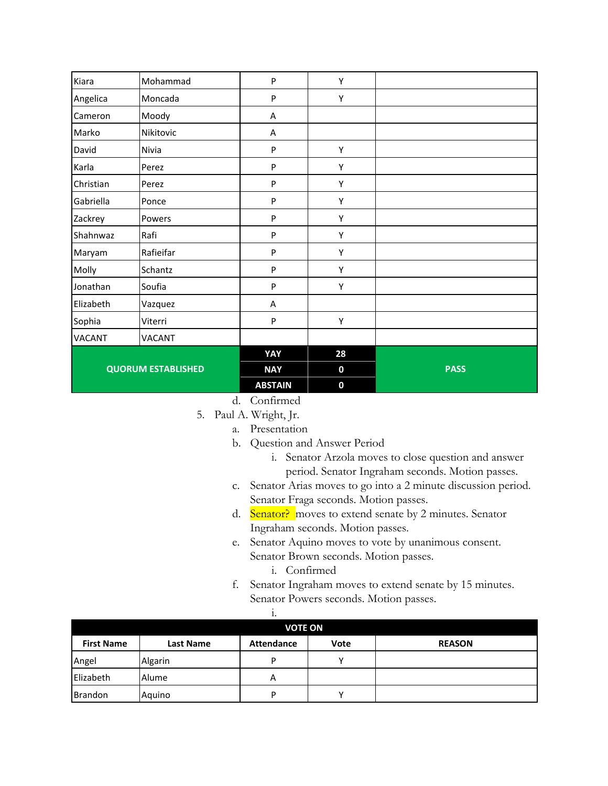| Kiara                     | Mohammad      | $\mathsf{P}$   | Υ           |             |
|---------------------------|---------------|----------------|-------------|-------------|
| Angelica                  | Moncada       | $\sf P$        | Υ           |             |
| Cameron                   | Moody         | A              |             |             |
| Marko                     | Nikitovic     | A              |             |             |
| David                     | Nivia         | ${\sf P}$      | Υ           |             |
| Karla                     | Perez         | ${\sf P}$      | Υ           |             |
| Christian                 | Perez         | $\mathsf{P}$   | Υ           |             |
| Gabriella                 | Ponce         | $\sf P$        | Υ           |             |
| Zackrey                   | Powers        | ${\sf P}$      | Υ           |             |
| Shahnwaz                  | Rafi          | $\mathsf{P}$   | Υ           |             |
| Maryam                    | Rafieifar     | $\sf P$        | Υ           |             |
| Molly                     | Schantz       | P              | Υ           |             |
| Jonathan                  | Soufia        | ${\sf P}$      | Υ           |             |
| Elizabeth                 | Vazquez       | Α              |             |             |
| Sophia                    | Viterri       | P              | Υ           |             |
| <b>VACANT</b>             | <b>VACANT</b> |                |             |             |
|                           |               | YAY            | 28          |             |
| <b>QUORUM ESTABLISHED</b> |               | <b>NAY</b>     | $\mathbf 0$ | <b>PASS</b> |
|                           |               | <b>ABSTAIN</b> | $\bf{0}$    |             |

d. Confirmed

- 5. Paul A. Wright, Jr.
	- a. Presentation
	- b. Question and Answer Period
		- i. Senator Arzola moves to close question and answer period. Senator Ingraham seconds. Motion passes.
	- c. Senator Arias moves to go into a 2 minute discussion period. Senator Fraga seconds. Motion passes.
	- d. Senator? moves to extend senate by 2 minutes. Senator Ingraham seconds. Motion passes.
	- e. Senator Aquino moves to vote by unanimous consent. Senator Brown seconds. Motion passes.
		- i. Confirmed
	- f. Senator Ingraham moves to extend senate by 15 minutes. Senator Powers seconds. Motion passes.
- i. **VOTE ON First Name Last Name Attendance Vote REASON** Angel | Algarin | P | Y Elizabeth Alume A Brandon | Aquino | P | Y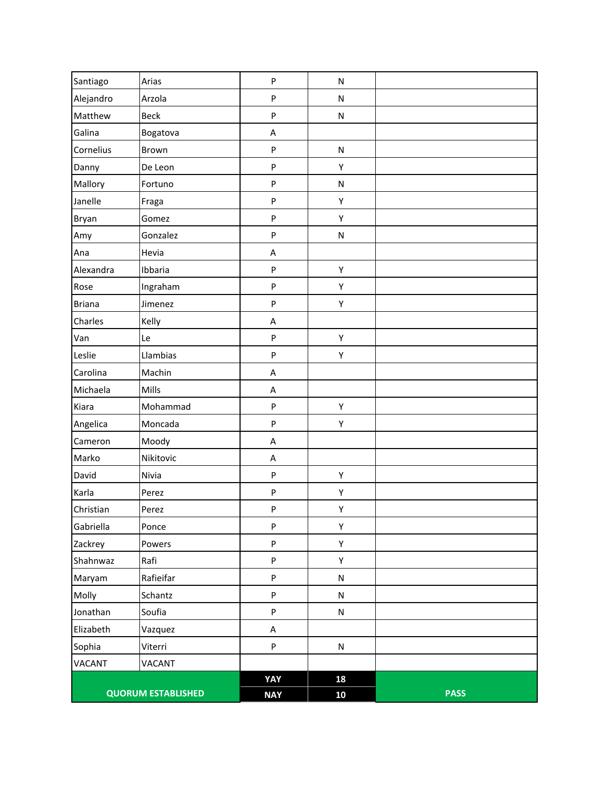|               | <b>QUORUM ESTABLISHED</b> | <b>NAY</b> | 10        | <b>PASS</b> |
|---------------|---------------------------|------------|-----------|-------------|
|               |                           | YAY        | 18        |             |
| <b>VACANT</b> | <b>VACANT</b>             |            |           |             |
| Sophia        | Viterri                   | P          | N         |             |
| Elizabeth     | Vazquez                   | A          |           |             |
| Jonathan      | Soufia                    | P          | ${\sf N}$ |             |
| Molly         | Schantz                   | P          | ${\sf N}$ |             |
| Maryam        | Rafieifar                 | P          | ${\sf N}$ |             |
| Shahnwaz      | Rafi                      | P          | Υ         |             |
| Zackrey       | Powers                    | P          | Υ         |             |
| Gabriella     | Ponce                     | P          | Υ         |             |
| Christian     | Perez                     | P          | Υ         |             |
| Karla         | Perez                     | ${\sf P}$  | Υ         |             |
| David         | Nivia                     | P          | Υ         |             |
| Marko         | Nikitovic                 | A          |           |             |
| Cameron       | Moody                     | $\sf A$    |           |             |
| Angelica      | Moncada                   | ${\sf P}$  | Υ         |             |
| Kiara         | Mohammad                  | P          | Υ         |             |
| Michaela      | Mills                     | A          |           |             |
| Carolina      | Machin                    | A          |           |             |
| Leslie        | Llambias                  | P          | Υ         |             |
| Van           | Le                        | P          | Υ         |             |
| Charles       | Kelly                     | A          |           |             |
| <b>Briana</b> | Jimenez                   | P          | Υ         |             |
| Rose          | Ingraham                  | P          | Υ         |             |
| Alexandra     | Ibbaria                   | P          | Υ         |             |
| Ana           | Hevia                     | A          |           |             |
| Amy           | Gonzalez                  | P          | N         |             |
| Bryan         | Gomez                     | P          | Υ         |             |
| Janelle       | Fraga                     | P          | Υ         |             |
| Mallory       | Fortuno                   | P          | ${\sf N}$ |             |
| Danny         | De Leon                   | P          | Υ         |             |
| Cornelius     | Brown                     | P          | ${\sf N}$ |             |
| Galina        | Bogatova                  | A          |           |             |
| Matthew       | Beck                      | P          | ${\sf N}$ |             |
| Alejandro     | Arzola                    | P          | ${\sf N}$ |             |
| Santiago      | Arias                     | P          | N         |             |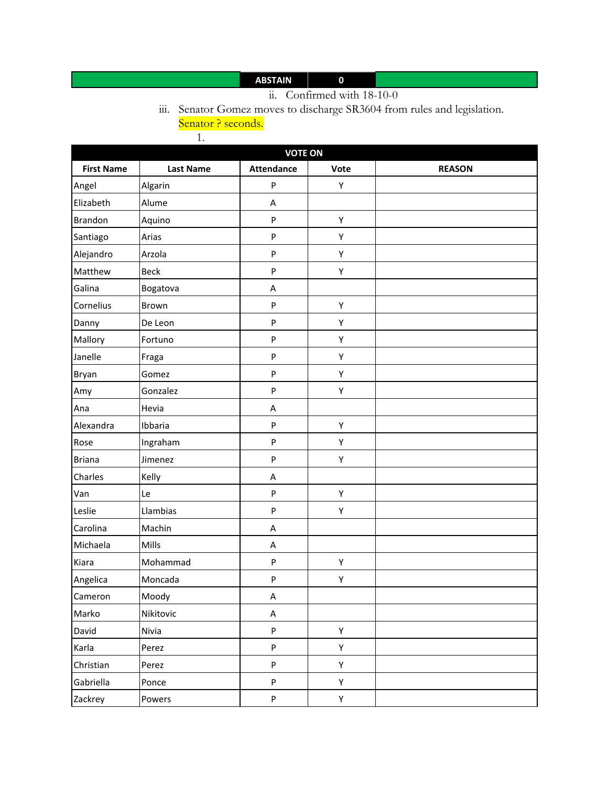# **ABSTAIN 0**

## ii. Confirmed with 18-10-0

iii. Senator Gomez moves to discharge SR3604 from rules and legislation. Senator ? seconds.

1.

| <b>VOTE ON</b>    |                  |                           |      |               |  |
|-------------------|------------------|---------------------------|------|---------------|--|
| <b>First Name</b> | <b>Last Name</b> | <b>Attendance</b>         | Vote | <b>REASON</b> |  |
| Angel             | Algarin          | ${\sf P}$                 | Υ    |               |  |
| Elizabeth         | Alume            | A                         |      |               |  |
| <b>Brandon</b>    | Aquino           | ${\sf P}$                 | Υ    |               |  |
| Santiago          | Arias            | ${\sf P}$                 | Υ    |               |  |
| Alejandro         | Arzola           | ${\sf P}$                 | Υ    |               |  |
| Matthew           | <b>Beck</b>      | ${\sf P}$                 | Υ    |               |  |
| Galina            | Bogatova         | $\boldsymbol{\mathsf{A}}$ |      |               |  |
| Cornelius         | Brown            | ${\sf P}$                 | Υ    |               |  |
| Danny             | De Leon          | ${\sf P}$                 | Υ    |               |  |
| Mallory           | Fortuno          | $\boldsymbol{\mathsf{P}}$ | Υ    |               |  |
| Janelle           | Fraga            | ${\sf P}$                 | Υ    |               |  |
| Bryan             | Gomez            | ${\sf P}$                 | Υ    |               |  |
| Amy               | Gonzalez         | ${\sf P}$                 | Υ    |               |  |
| Ana               | Hevia            | A                         |      |               |  |
| Alexandra         | Ibbaria          | ${\sf P}$                 | Υ    |               |  |
| Rose              | Ingraham         | ${\sf P}$                 | Υ    |               |  |
| <b>Briana</b>     | Jimenez          | ${\sf P}$                 | Υ    |               |  |
| Charles           | Kelly            | A                         |      |               |  |
| Van               | Le               | ${\sf P}$                 | Υ    |               |  |
| Leslie            | Llambias         | ${\sf P}$                 | Υ    |               |  |
| Carolina          | Machin           | Α                         |      |               |  |
| Michaela          | Mills            | A                         |      |               |  |
| Kiara             | Mohammad         | ${\sf P}$                 | Υ    |               |  |
| Angelica          | Moncada          | ${\sf P}$                 | Υ    |               |  |
| Cameron           | Moody            | A                         |      |               |  |
| Marko             | Nikitovic        | A                         |      |               |  |
| David             | Nivia            | ${\sf P}$                 | Υ    |               |  |
| Karla             | Perez            | P                         | Y    |               |  |
| Christian         | Perez            | P                         | Υ    |               |  |
| Gabriella         | Ponce            | ${\sf P}$                 | Υ    |               |  |
| Zackrey           | Powers           | P                         | Υ    |               |  |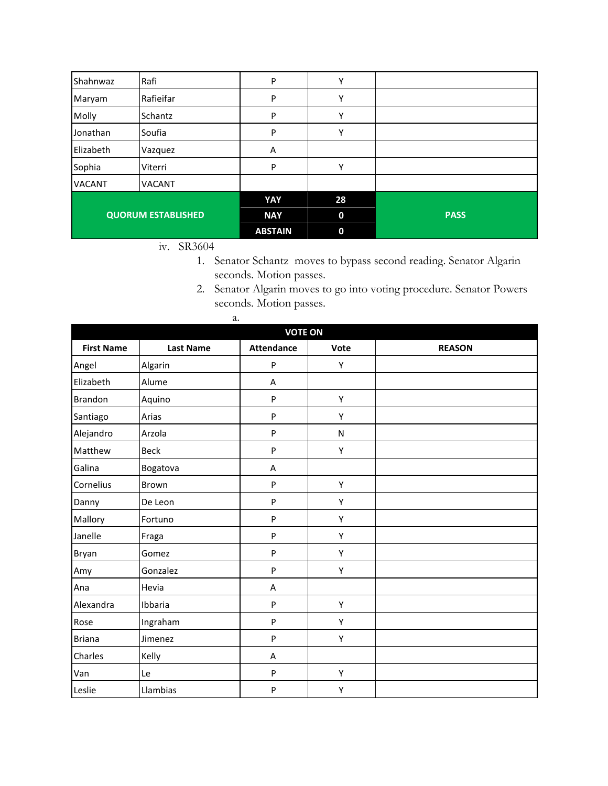| Shahnwaz                  | Rafi          | P              | Υ                |             |
|---------------------------|---------------|----------------|------------------|-------------|
| Maryam                    | Rafieifar     | P              | Υ                |             |
| Molly                     | Schantz       | P              | Υ                |             |
| Jonathan                  | Soufia        | P              | ٧                |             |
| Elizabeth                 | Vazquez       | Α              |                  |             |
| Sophia                    | Viterri       | P              | Υ                |             |
| <b>VACANT</b>             | <b>VACANT</b> |                |                  |             |
|                           |               | YAY            | 28               |             |
| <b>QUORUM ESTABLISHED</b> |               | <b>NAY</b>     | $\boldsymbol{0}$ | <b>PASS</b> |
|                           |               | <b>ABSTAIN</b> | $\mathbf 0$      |             |

- iv. SR3604
	- 1. Senator Schantz moves to bypass second reading. Senator Algarin seconds. Motion passes.
	- 2. Senator Algarin moves to go into voting procedure. Senator Powers seconds. Motion passes.

|                   | a.               |                   |      |               |  |  |  |
|-------------------|------------------|-------------------|------|---------------|--|--|--|
|                   | <b>VOTE ON</b>   |                   |      |               |  |  |  |
| <b>First Name</b> | <b>Last Name</b> | <b>Attendance</b> | Vote | <b>REASON</b> |  |  |  |
| Angel             | Algarin          | P                 | Υ    |               |  |  |  |
| Elizabeth         | Alume            | A                 |      |               |  |  |  |
| <b>Brandon</b>    | Aquino           | P                 | Υ    |               |  |  |  |
| Santiago          | Arias            | P                 | Υ    |               |  |  |  |
| Alejandro         | Arzola           | P                 | N    |               |  |  |  |
| Matthew           | <b>Beck</b>      | P                 | Υ    |               |  |  |  |
| Galina            | Bogatova         | A                 |      |               |  |  |  |
| Cornelius         | Brown            | P                 | Υ    |               |  |  |  |
| Danny             | De Leon          | P                 | Υ    |               |  |  |  |
| Mallory           | Fortuno          | P                 | Υ    |               |  |  |  |
| Janelle           | Fraga            | P                 | Υ    |               |  |  |  |
| Bryan             | Gomez            | P                 | Υ    |               |  |  |  |
| Amy               | Gonzalez         | P                 | Υ    |               |  |  |  |
| Ana               | Hevia            | A                 |      |               |  |  |  |
| Alexandra         | Ibbaria          | P                 | Υ    |               |  |  |  |
| Rose              | Ingraham         | P                 | Υ    |               |  |  |  |
| <b>Briana</b>     | Jimenez          | P                 | Υ    |               |  |  |  |
| Charles           | Kelly            | A                 |      |               |  |  |  |
| Van               | Le               | P                 | Υ    |               |  |  |  |
| Leslie            | Llambias         | P                 | Υ    |               |  |  |  |